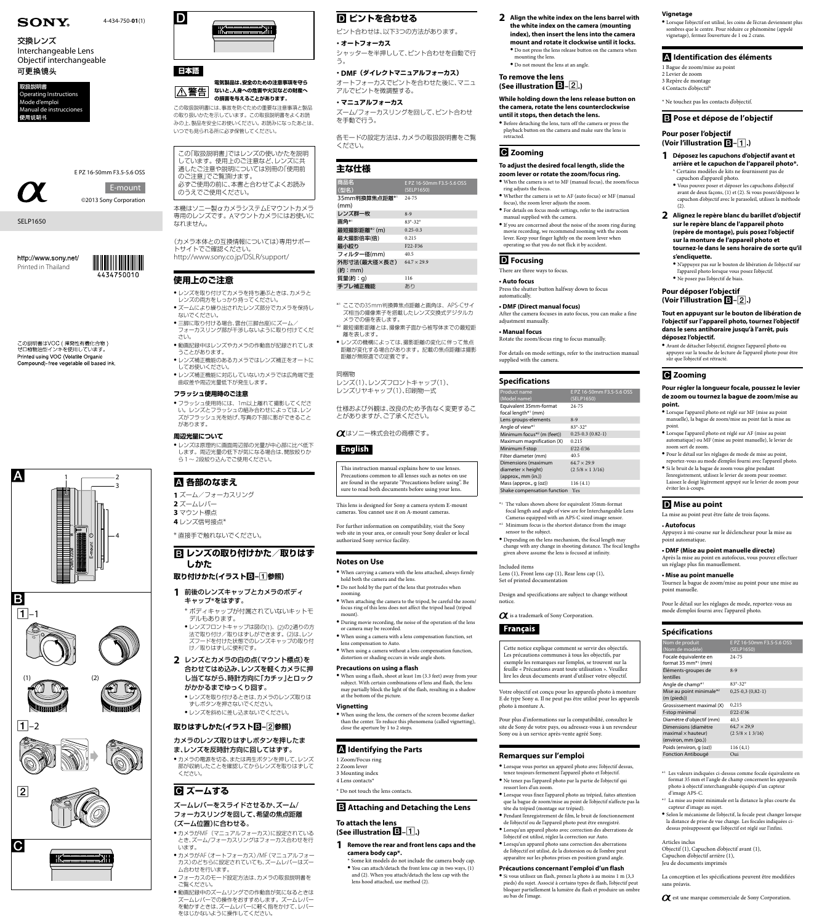











## 日本語



#### **電気製品は、安全のための注意事項を守ら ないと、人身への危害や火災などの財産へ** |△警告| **の損害を与えることがあります。**

この取扱説明書には、事故を防ぐための重要な注意事項と製品 の取り扱いかたを示しています。この取扱説明書をよくお読 みの上、製品を安全にお使いください。お読みになったあとは、 いつでも見られる所に必ず保管してください。

この「取扱説明書」ではレンズの使いかたを説明 しています。使用上のご注意など、レンズに共 通したご注意や説明については別冊の「使用前 のご注意」でご覧頂けます。 必ずご使用の前に、本書と合わせてよくお読み のうえでご使用ください。

本機はソニー製αカメラシステムEマウントカメラ 専用のレンズです。Aマウントカメラにはお使いに なれません。

- ●レンズを取り付けてカメラを持ち運ぶときは、カメラと レンズの両方をしっかり持ってください。
- ●ズームにより繰り出されたレンズ部分でカメラを保持し ないでください。
- 三脚に取り付ける場合、雲台(三脚台座)にズーム/ フォーカスリング部が干渉しないように取り付けてくだ さい。
- 動画記録中はレンズやカメラの作動音が記録されてしま うことがあります。
- ●レンズ補正機能のあるカメラではレンズ補正をオートに してお使いください。
- レンズ補正機能に対応していないカメラでは広角端で歪 曲収差や周辺光量低下が発生します。

(カメラ本体との互換情報については)専用サポー トサイトでご確認ください。 http://www.sony.co.jp/DSLR/support/

● フラッシュ使用時には、1m以上離れて撮影してくださ い。レンズとフラッシュの組み合わせによっては、レン ズがフラッシュ光を妨げ、写真の下部に影ができること があります。

## **使用上のご注意**

● レンズは原理的に画面周辺部の光量が中心部に比べ低下 します。周辺光量の低下が気になる場合は、開放絞りか ら1~ 2段絞り込んでご使用ください。

## **B** レンズの取り付けかた/取りはず **しかた**

- **1** 前後のレンズキャップとカメラのボディ キャップ\*をはずす。
- \* ボディキャップが付属されていないキットモ デルもあります。 ●レンズフロントキャップは図の(1)、(2)の2通りの方
	- 法で取り付け/取りはずしができます。(2)は、レン ズフードを付けた状態でのレンズキャップの取り付 け/取りはずしに便利です。
- **2** レンズとカメラの白の点(マウント標点)を 合わせてはめ込み、レンズを軽くカメラに押 し当てながら、時計方向に「カチッ」とロック がかかるまでゆっくり回す。
	- ●↓♪ノブを取り付けろときけ カメ

# **回 ピントを合わせる**

● カメラの電源を切る、または再生ボタンを押して、レンズ 部が収納したことを確認してからレンズを取りはずして ください。

## **G** ズームする

### **フラッシュ使用時のご注意**

#### **周辺光量について**

- カメラがMF (マニュアルフォーカス)に設定されている とき、ズーム/フォーカスリングはフォーカス合わせを行 います。
- ˎˎ カメラがAF(オートフォーカス)/MF(マニュアルフォー カス)のどちらに設定されていても、ズームレバーはズー ム合わせを行います。
- フォーカスのモード設定方法は、カメラの取扱説明書を ご覧ください。
- ●動画記録中のズームリングでの作動音が気になるときは ズームレバーでの操作をおすすめします。ズームレバー を動かすときは、ズームレバーに軽く指をかけて、レバー をはじかないように操作してください。

## **各部のなまえ**

- **1** ズーム/フォーカスリング
- **2** ズームレバー
- **3** マウント標点

**4** レンズ信号接点\*

\* 直接手で触れないでください。

## **取り付けかた(イラスト–参照)**



## **取りはずしかた(イラスト–参照)**

### カメラのレンズ取りはずしボタンを押したま ま、レンズを反時計方向に回してはずす。

### ズームレバーをスライドさせるか、ズーム/ フォーカスリングを回して、希望の焦点距離 (ズーム位置)に合わせる。

ピント合わせは、以下3つの方法があります。

**・オートフォーカス** シャッターを半押しして、ピント合わせを自動で行 う。

### **・DMF(ダイレクトマニュアルフォーカス)**

オートフォーカスでピントを合わせた後に、マニュ アルでピントを微調整する。

**・マニュアルフォーカス**

ズーム/フォーカスリングを回して、ピント合わせ を手動で行う。

各モードの設定方法は、カメラの取扱説明書をご覧 ください。

## **主な仕様**

| 商品名                   | E PZ 16-50mm F3.5-5.6 OSS        |
|-----------------------|----------------------------------|
| (型名)                  | (SELP1650)                       |
| 35mm判換算焦点距離*'<br>(mm) | 24-75                            |
| レンズ群一枚                | $8-9$                            |
| 画角*'                  | $83^{\circ} - 32^{\circ}$        |
| 最短撮影距離*2(m)           | $0.25 - 0.3$                     |
| 最大撮影倍率(倍)             | 0.215                            |
| 最小絞り                  | F <sub>22</sub> -F <sub>36</sub> |
| フィルター径(mm)            | 40.5                             |
| 外形寸法(最大径×長さ)          | $64.7 \times 29.9$               |
| (約:mm)                |                                  |
| 質量(約:g)               | 116                              |
| 手ブレ補正機能               | あり                               |

- \*<sup>1</sup> ここでの35mm判換算焦点距離と画角は、APS-Cサイ ズ相当の撮像素子を搭載したレンズ交換式デジタルカ メラでの値を表します。
- \*<sup>2</sup> 最短撮影距離とは、撮像素子面から被写体までの最短距 離を表します。
- レンズの機構によっては、撮影距離の変化に伴って焦点 距離が変化する場合があります。記載の焦点距離は撮影 距離が無限遠での定義です。

#### 同梱物

レンズ(1)、レンズフロントキャップ(1)、 レンズリヤキャップ(1)、印刷物一式

仕様および外観は、改良のため予告なく変更するこ とがありますが、ご了承ください。

はソニー株式会社の商標です。

## English

This instruction manual explains how to use lenses. Precautions common to all lenses such as notes on use are found in the separate "Precautions before using". Be sure to read both documents before using your lens.

This lens is designed for Sony α camera system E-mount cameras. You cannot use it on A-mount cameras.

For further information on compatibility, visit the Sony web site in your area, or consult your Sony dealer or local authorized Sony service facility.

## **Notes on Use**

- ˎˎ When carrying a camera with the lens attached, always firmly hold both the camera and the lens.
- ˎˎ Do not hold by the part of the lens that protrudes when zooming.
- ˎˎ When attaching the camera to the tripod, be careful the zoom/ focus ring of this lens does not affect the tripod head (tripod mount).
- $\bullet$  During movie recording, the noise of the operation of the lens or camera may be recorded.
- ˎˎ When using a camera with a lens compensation function, set lens compensation to Auto.
- ˎˎ When using a camera without a lens compensation function, distortion or shading occurs in wide angle shots.

#### **Precautions on using a flash**

ˎˎ When using a flash, shoot at least 1m (3.3 feet) away from your subject. With certain combinations of lens and flash, the lens may partially block the light of the flash, resulting in a shadow at the bottom of the picture.

#### **Vignetting**

ˎˎ When using the lens, the corners of the screen become darker than the center. To reduce this phenomena (called vignetting), close the aperture by 1 to 2 stops.

## **Identifying the Parts**

- 1 Zoom/Focus ring
- 2 Zoom lever
- 3 Mounting index
- 4 Lens contacts\*
- \* Do not touch the lens contacts.

## **Attaching and Detaching the Lens**

**To attach the lens (See illustration –.)**

#### **1 Remove the rear and front lens caps and the camera body cap\*.**

- \* Some kit models do not include the camera body cap.
- ˎˎ You can attach/detach the front lens cap in two ways, (1) and (2). When you attach/detach the lens cap with the lens hood attached, use method (2).

Interchangeable Lens Objectif interchangeable 可更换镜头

http://www.sony.net/ Printed in Thailand



**2 Align the white index on the lens barrel with the white index on the camera (mounting index), then insert the lens into the camera mount and rotate it clockwise until it locks.**  $\bullet$  Do not press the lens release button on the camera when mounting the lens.

### **To remove the lens (See illustration –.)**

**While holding down the lens release button on the camera, rotate the lens counterclockwise until it stops, then detach the lens.**

ˎˎ Before detaching the lens, turn off the camera or press the playback button on the camera and make sure the lens is retracted.

### **Zooming**

**To adjust the desired focal length, slide the zoom lever or rotate the zoom/focus ring.** ˎˎ When the camera is set to MF (manual focus), the zoom/focus

> $\bullet$  Avant de détacher l'objectif, éteignez l'appareil photo ou appuyez sur la touche de lecture de l'appareil photo pour être

- ring adjusts the focus. ˎˎ Whether the camera is set to AF (auto focus) or MF (manual
- focus), the zoom lever adjusts the zoom. ˎˎ For details on focus mode settings, refer to the instruction
- manual supplied with the camera. ˎˎ If you are concerned about the noise of the zoom ring during
- movie recording, we recommend zooming with the zoom lever. Keep your finger lightly on the zoom lever when operating so that you do not flick it by accident.

### **D** Focusing

There are three ways to focus.

**• Auto focus**

Press the shutter button halfway down to focus automatically. **• DMF (Direct manual focus)** After the camera focuses in auto focus, you can make a fine

adjustment manually. **• Manual focus**

Rotate the zoom/focus ring to focus manually.

Angle de champ<sup>\*1</sup>  $83^\circ$ -32<sup>°</sup> Mise au point minimale\*2

For details on mode settings, refer to the instruction manual supplied with the camera.

### **Specifications**

| Product name                           | E PZ 16-50mm F3.5-5.6 OSS |
|----------------------------------------|---------------------------|
| (Model name)                           | (SELP1650)                |
| Equivalent 35mm-format                 | $24 - 75$                 |
| focal length* <sup>1</sup> (mm)        |                           |
| Lens groups-elements                   | $8-9$                     |
| Angle of view*1                        | $83^{\circ} - 32^{\circ}$ |
| Minimum focus <sup>*2</sup> (m (feet)) | $0.25 - 0.3(0.82 - 1)$    |
| Maximum magnification (X)              | 0.215                     |
| Minimum f-stop                         | $f/22-f/36$               |
| Filter diameter (mm)                   | 40.5                      |
| Dimensions (maximum                    | $64.7 \times 29.9$        |
| diameter $\times$ height)              | $(2.5/8 \times 1.3/16)$   |
| ${\rm (approx., mm (in.))}$            |                           |
| Mass (approx., g (oz))                 | 116(4.1)                  |
| Shake compensation function            | Yes                       |

- \*1 The values shown above for equivalent 35mm-format focal length and angle of view are for Interchangeable Lens Cameras equipped with an APS-C sized image sensor.
- $\ast^2$ Minimum focus is the shortest distance from the image sensor to the subject.
- ˎˎ Depending on the lens mechanism, the focal length may change with any change in shooting distance. The focal lengths given above assume the lens is focused at infinity.

Included items Lens (1), Front lens cap (1), Rear lens cap (1), Set of printed documentation

Design and specifications are subject to change without notice.

 $\alpha$  is a trademark of Sony Corporation.

## Français

Cette notice explique comment se servir des objectifs. Les précautions communes à tous les objectifs, par exemple les remarques sur l'emploi, se trouvent sur la feuille « Précautions avant toute utilisation ». Veuillez lire les deux documents avant d'utiliser votre objectif.



 $\mathbb{D}$ 



Votre objectif est conçu pour les appareils photo à monture E de type Sony α. Il ne peut pas être utilisé pour les appareils photo à monture A.

Pour plus d'informations sur la compatibilité, consultez le site de Sony de votre pays, ou adressez-vous à un revendeur Sony ou à un service après-vente agréé Sony.

### **Remarques sur l'emploi**

- ˎˎ Lorsque vous portez un appareil photo avec l'objectif dessus, tenez toujours fermement l'appareil photo et l'objectif.
- ˎˎ Ne tenez pas l'appareil photo par la partie de l'objectif qui ressort lors d'un zoom.
- $\bullet$  Lorsque vous fixez l'appareil photo au trépied, faites attention que la bague de zoom/mise au point de l'objectif n'affecte pas la tête du trépied (montage sur trépied).
- ˎˎ Pendant l'enregistrement de film, le bruit de fonctionnement de l'objectif ou de l'appareil photo peut être enregistré.
- ˎˎ Lorsqu'un appareil photo avec correction des aberrations de l'objectif est utilisé, réglez la correction sur Auto.
- ˎˎ Lorsqu'un appareil photo sans correction des aberrations de l'objectif est utilisé, de la distorsion ou de l'ombre peut apparaître sur les photos prises en position grand angle.

#### **Précautions concernant l'emploi d'un flash**

ˎˎ Si vous utilisez un flash, prenez la photo à au moins 1 m (3,3 pieds) du sujet. Associé à certains types de flash, l'objectif peut bloquer partiellement la lumière du flash et produire un ombre au bas de l'image.

4-434-750-**01**(1)



©2013 Sony Corporation

SELP1650

# **SONY**

# 交換レンズ



E PZ 16-50mm F3.5-5.6 OSS

E-mount

**Vignetage** 

ˎˎ Lorsque l'objectif est utilisé, les coins de l'écran deviennent plus sombres que le centre. Pour réduire ce phénomène (appelé

vignetage), fermez l'ouverture de 1 ou 2 crans.

 **Identification des éléments** 

1 Bague de zoom/mise au point

2 Levier de zoom 3 Repère de montage 4 Contacts d'objectif\*

\* Ne touchez pas les contacts d'objectif.

 **Pose et dépose de l'objectif** 

**Pour poser l'objectif (Voir l'illustration –.)** 

**1 Déposez les capuchons d'objectif avant et arrière et le capuchon de l'appareil photo\*.** \* Certains modèles de kits ne fournissent pas de

capuchon d'appareil photo.

 $\bullet$  Do not mount the lens at an angle

ˎˎ Vous pouvez poser et déposer les capuchons d'objectif avant de deux façons, (1) et (2). Si vous posez/déposez le capuchon d'objectif avec le parasoleil, utilisez la méthode

(2).

**2 Alignez le repère blanc du barillet d'objectif sur le repère blanc de l'appareil photo (repère de montage), puis posez l'objectif sur la monture de l'appareil photo et tournez-le dans le sens horaire de sorte qu'il** 

**s'encliquette.** 

ˎˎ N'appuyez pas sur le bouton de libération de l'objectif sur l'appareil photo lorsque vous posez l'objectif.

ˎˎ Ne posez pas l'objectif de biais. **Pour déposer l'objectif (Voir l'illustration –.)** 

**Tout en appuyant sur le bouton de libération de l'objectif sur l'appareil photo, tournez l'objectif dans le sens antihoraire jusqu'à l'arrêt, puis** 

**déposez l'objectif.** 

*<u><b>* Zooming</u>

sûr que l'objectif est rétracté.

**Pour régler la longueur focale, poussez le levier de zoom ou tournez la bague de zoom/mise au** 

**point.** 

ˎˎ Lorsque l'appareil photo est réglé sur MF (mise au point manuelle), la bague de zoom/mise au point fait la mise au

point.

ˎˎ Lorsque l'appareil photo est réglé sur AF (mise au point automatique) ou MF (mise au point manuelle), le levier de

zoom sert de zoom.

ˎˎ Pour le détail sur les réglages de mode de mise au point, reportez-vous au mode d'emploi fourni avec l'appareil photo. ˎˎ Si le bruit de la bague de zoom vous gêne pendant l'enregistrement, utilisez le levier de zoom pour zoomer. Laissez le doigt légèrement appuyé sur le levier de zoom pour

éviter les à-coups.

La mise au point peut être faite de trois façons.

• **Autofocus** 

Appuyez à mi-course sur le déclencheur pour la mise au

point automatique.

**• DMF (Mise au point manuelle directe)**  Après la mise au point en autofocus, vous pouvez effectuer

un réglage plus fin manuellement. **• Mise au point manuelle** 

Tournez la bague de zoom/mise au point pour une mise au

point manuelle.

Pour le détail sur les réglages de mode, reportez-vous au

mode d'emploi fourni avec l'appareil photo.

**Spécifications**  Nom de produit (Nom de modèle)

(SELP1650)

Focale équivalente en format 35 mm\*1 (mm)

24-75

Éléments-groupes de

lentilles

**D** Mise au point

8-9

 $m$  F3.5-5.6 OSS

0,25-0,3 (0,82-1)

| $(m$ (pieds))              |                         |
|----------------------------|-------------------------|
| Grossissement maximal (X)  | 0.215                   |
| f-stop minimal             | $f/22-f/36$             |
| Diamètre d'objectif (mm)   | 40,5                    |
| Dimensions (diamètre       | $64.7 \times 29.9$      |
| $maximal \times hauteur$ ) | $(2.5/8 \times 1.3/16)$ |
| (environ, mm (po.))        |                         |
| Poids (environ, q (oz))    | 116(4,1)                |
| Fonction Antibougé         | Oui                     |

- \*1 Les valeurs indiquées ci-dessus comme focale équivalente en format 35 mm et l'angle de champ concernent les appareils photo à objectif interchangeable équipés d'un capteur d'image APS-C.
- \*2 La mise au point minimale est la distance la plus courte du capteur d'image au sujet.
- ˎˎ Selon le mécanisme de l'objectif, la focale peut changer lorsque la distance de prise de vue change. Les focales indiquées cidessus présupposent que l'objectif est réglé sur l'infini.

#### Articles inclus

Objectif (1), Capuchon d'objectif avant (1), Capuchon d'objectif arrière (1), Jeu de documents imprimés

La conception et les spécifications peuvent être modifiées sans préavis.

 $\alpha$  est une marque commerciale de Sony Corporation.